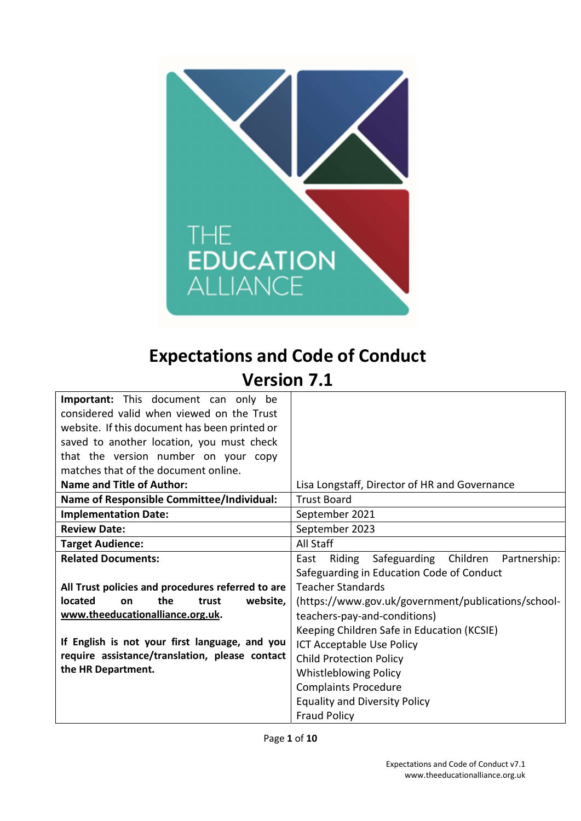

# Expectations and Code of Conduct

# Version 7.1

| <b>Important:</b> This document can only be       |                                                         |  |  |
|---------------------------------------------------|---------------------------------------------------------|--|--|
| considered valid when viewed on the Trust         |                                                         |  |  |
| website. If this document has been printed or     |                                                         |  |  |
| saved to another location, you must check         |                                                         |  |  |
| that the version number on your copy              |                                                         |  |  |
| matches that of the document online.              |                                                         |  |  |
| <b>Name and Title of Author:</b>                  | Lisa Longstaff, Director of HR and Governance           |  |  |
| <b>Name of Responsible Committee/Individual:</b>  | <b>Trust Board</b>                                      |  |  |
| <b>Implementation Date:</b>                       | September 2021                                          |  |  |
| <b>Review Date:</b>                               | September 2023                                          |  |  |
| <b>Target Audience:</b>                           | All Staff                                               |  |  |
| <b>Related Documents:</b>                         | Safeguarding Children<br>East<br>Riding<br>Partnership: |  |  |
|                                                   | Safeguarding in Education Code of Conduct               |  |  |
| All Trust policies and procedures referred to are | <b>Teacher Standards</b>                                |  |  |
| located<br>website,<br>the<br>trust<br>on         | (https://www.gov.uk/government/publications/school-     |  |  |
| www.theeducationalliance.org.uk.                  | teachers-pay-and-conditions)                            |  |  |
|                                                   | Keeping Children Safe in Education (KCSIE)              |  |  |
| If English is not your first language, and you    | ICT Acceptable Use Policy                               |  |  |
| require assistance/translation, please contact    | <b>Child Protection Policy</b>                          |  |  |
| the HR Department.                                | <b>Whistleblowing Policy</b>                            |  |  |
|                                                   | <b>Complaints Procedure</b>                             |  |  |
|                                                   | <b>Equality and Diversity Policy</b>                    |  |  |
|                                                   | <b>Fraud Policy</b>                                     |  |  |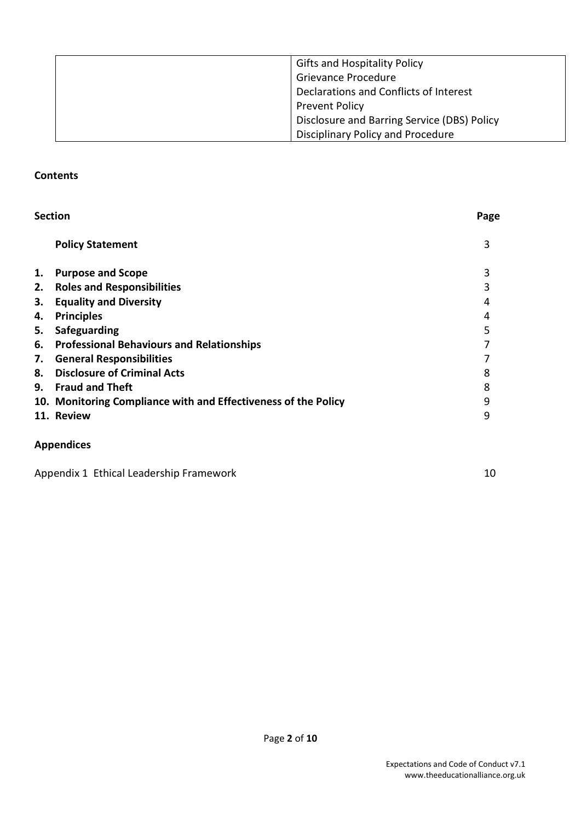| <b>Gifts and Hospitality Policy</b>         |
|---------------------------------------------|
| <b>Grievance Procedure</b>                  |
| Declarations and Conflicts of Interest      |
| <b>Prevent Policy</b>                       |
| Disclosure and Barring Service (DBS) Policy |
| Disciplinary Policy and Procedure           |

#### **Contents**

| <b>Section</b> |                                                                | Page |
|----------------|----------------------------------------------------------------|------|
|                | <b>Policy Statement</b>                                        | 3    |
| 1.             | <b>Purpose and Scope</b>                                       | 3    |
|                | 2. Roles and Responsibilities                                  | 3    |
| 3.             | <b>Equality and Diversity</b>                                  | 4    |
| 4.             | <b>Principles</b>                                              | 4    |
| 5.             | Safeguarding                                                   | 5    |
|                | 6. Professional Behaviours and Relationships                   |      |
|                | 7. General Responsibilities                                    |      |
| 8.             | <b>Disclosure of Criminal Acts</b>                             | 8    |
|                | 9. Fraud and Theft                                             | 8    |
|                | 10. Monitoring Compliance with and Effectiveness of the Policy | 9    |
|                | 11. Review                                                     | 9    |
|                | <b>Appendices</b>                                              |      |

Appendix 1 Ethical Leadership Framework 10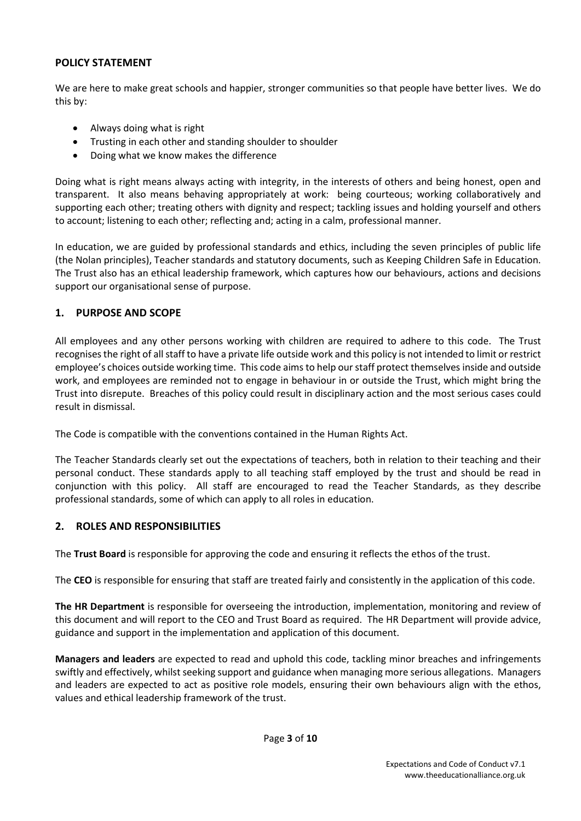### POLICY STATEMENT

We are here to make great schools and happier, stronger communities so that people have better lives. We do this by:

- Always doing what is right
- Trusting in each other and standing shoulder to shoulder
- Doing what we know makes the difference

Doing what is right means always acting with integrity, in the interests of others and being honest, open and transparent. It also means behaving appropriately at work: being courteous; working collaboratively and supporting each other; treating others with dignity and respect; tackling issues and holding yourself and others to account; listening to each other; reflecting and; acting in a calm, professional manner.

In education, we are guided by professional standards and ethics, including the seven principles of public life (the Nolan principles), Teacher standards and statutory documents, such as Keeping Children Safe in Education. The Trust also has an ethical leadership framework, which captures how our behaviours, actions and decisions support our organisational sense of purpose.

#### 1. PURPOSE AND SCOPE

All employees and any other persons working with children are required to adhere to this code. The Trust recognises the right of all staff to have a private life outside work and this policy is not intended to limit or restrict employee's choices outside working time. This code aims to help our staff protect themselves inside and outside work, and employees are reminded not to engage in behaviour in or outside the Trust, which might bring the Trust into disrepute. Breaches of this policy could result in disciplinary action and the most serious cases could result in dismissal.

The Code is compatible with the conventions contained in the Human Rights Act.

The Teacher Standards clearly set out the expectations of teachers, both in relation to their teaching and their personal conduct. These standards apply to all teaching staff employed by the trust and should be read in conjunction with this policy. All staff are encouraged to read the Teacher Standards, as they describe professional standards, some of which can apply to all roles in education.

# 2. ROLES AND RESPONSIBILITIES

The Trust Board is responsible for approving the code and ensuring it reflects the ethos of the trust.

The CEO is responsible for ensuring that staff are treated fairly and consistently in the application of this code.

The HR Department is responsible for overseeing the introduction, implementation, monitoring and review of this document and will report to the CEO and Trust Board as required. The HR Department will provide advice, guidance and support in the implementation and application of this document.

Managers and leaders are expected to read and uphold this code, tackling minor breaches and infringements swiftly and effectively, whilst seeking support and guidance when managing more serious allegations. Managers and leaders are expected to act as positive role models, ensuring their own behaviours align with the ethos, values and ethical leadership framework of the trust.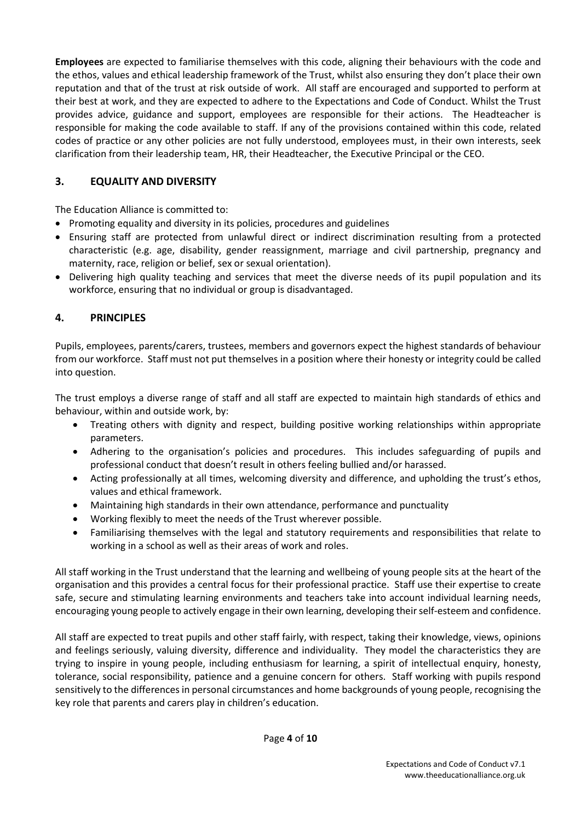Employees are expected to familiarise themselves with this code, aligning their behaviours with the code and the ethos, values and ethical leadership framework of the Trust, whilst also ensuring they don't place their own reputation and that of the trust at risk outside of work. All staff are encouraged and supported to perform at their best at work, and they are expected to adhere to the Expectations and Code of Conduct. Whilst the Trust provides advice, guidance and support, employees are responsible for their actions. The Headteacher is responsible for making the code available to staff. If any of the provisions contained within this code, related codes of practice or any other policies are not fully understood, employees must, in their own interests, seek clarification from their leadership team, HR, their Headteacher, the Executive Principal or the CEO.

# 3. EQUALITY AND DIVERSITY

The Education Alliance is committed to:

- Promoting equality and diversity in its policies, procedures and guidelines
- Ensuring staff are protected from unlawful direct or indirect discrimination resulting from a protected characteristic (e.g. age, disability, gender reassignment, marriage and civil partnership, pregnancy and maternity, race, religion or belief, sex or sexual orientation).
- Delivering high quality teaching and services that meet the diverse needs of its pupil population and its workforce, ensuring that no individual or group is disadvantaged.

# 4. PRINCIPLES

Pupils, employees, parents/carers, trustees, members and governors expect the highest standards of behaviour from our workforce. Staff must not put themselves in a position where their honesty or integrity could be called into question.

The trust employs a diverse range of staff and all staff are expected to maintain high standards of ethics and behaviour, within and outside work, by:

- Treating others with dignity and respect, building positive working relationships within appropriate parameters.
- Adhering to the organisation's policies and procedures. This includes safeguarding of pupils and professional conduct that doesn't result in others feeling bullied and/or harassed.
- Acting professionally at all times, welcoming diversity and difference, and upholding the trust's ethos, values and ethical framework.
- Maintaining high standards in their own attendance, performance and punctuality
- Working flexibly to meet the needs of the Trust wherever possible.
- Familiarising themselves with the legal and statutory requirements and responsibilities that relate to working in a school as well as their areas of work and roles.

All staff working in the Trust understand that the learning and wellbeing of young people sits at the heart of the organisation and this provides a central focus for their professional practice. Staff use their expertise to create safe, secure and stimulating learning environments and teachers take into account individual learning needs, encouraging young people to actively engage in their own learning, developing their self-esteem and confidence.

All staff are expected to treat pupils and other staff fairly, with respect, taking their knowledge, views, opinions and feelings seriously, valuing diversity, difference and individuality. They model the characteristics they are trying to inspire in young people, including enthusiasm for learning, a spirit of intellectual enquiry, honesty, tolerance, social responsibility, patience and a genuine concern for others. Staff working with pupils respond sensitively to the differences in personal circumstances and home backgrounds of young people, recognising the key role that parents and carers play in children's education.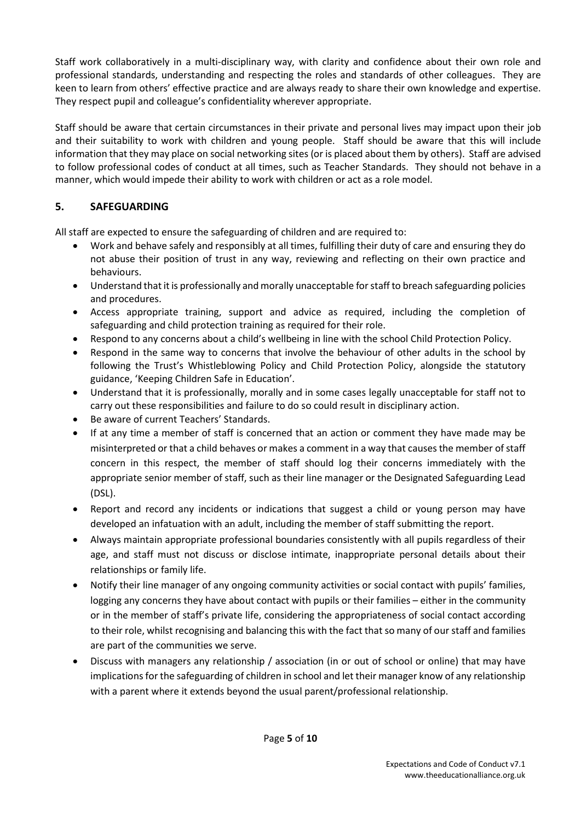Staff work collaboratively in a multi-disciplinary way, with clarity and confidence about their own role and professional standards, understanding and respecting the roles and standards of other colleagues. They are keen to learn from others' effective practice and are always ready to share their own knowledge and expertise. They respect pupil and colleague's confidentiality wherever appropriate.

Staff should be aware that certain circumstances in their private and personal lives may impact upon their job and their suitability to work with children and young people. Staff should be aware that this will include information that they may place on social networking sites (or is placed about them by others). Staff are advised to follow professional codes of conduct at all times, such as Teacher Standards. They should not behave in a manner, which would impede their ability to work with children or act as a role model.

# 5. SAFEGUARDING

All staff are expected to ensure the safeguarding of children and are required to:

- Work and behave safely and responsibly at all times, fulfilling their duty of care and ensuring they do not abuse their position of trust in any way, reviewing and reflecting on their own practice and behaviours.
- Understand that it is professionally and morally unacceptable for staff to breach safeguarding policies and procedures.
- Access appropriate training, support and advice as required, including the completion of safeguarding and child protection training as required for their role.
- Respond to any concerns about a child's wellbeing in line with the school Child Protection Policy.
- Respond in the same way to concerns that involve the behaviour of other adults in the school by following the Trust's Whistleblowing Policy and Child Protection Policy, alongside the statutory guidance, 'Keeping Children Safe in Education'.
- Understand that it is professionally, morally and in some cases legally unacceptable for staff not to carry out these responsibilities and failure to do so could result in disciplinary action.
- Be aware of current Teachers' Standards.
- If at any time a member of staff is concerned that an action or comment they have made may be misinterpreted or that a child behaves or makes a comment in a way that causes the member of staff concern in this respect, the member of staff should log their concerns immediately with the appropriate senior member of staff, such as their line manager or the Designated Safeguarding Lead (DSL).
- Report and record any incidents or indications that suggest a child or young person may have developed an infatuation with an adult, including the member of staff submitting the report.
- Always maintain appropriate professional boundaries consistently with all pupils regardless of their age, and staff must not discuss or disclose intimate, inappropriate personal details about their relationships or family life.
- Notify their line manager of any ongoing community activities or social contact with pupils' families, logging any concerns they have about contact with pupils or their families – either in the community or in the member of staff's private life, considering the appropriateness of social contact according to their role, whilst recognising and balancing this with the fact that so many of our staff and families are part of the communities we serve.
- Discuss with managers any relationship / association (in or out of school or online) that may have implications for the safeguarding of children in school and let their manager know of any relationship with a parent where it extends beyond the usual parent/professional relationship.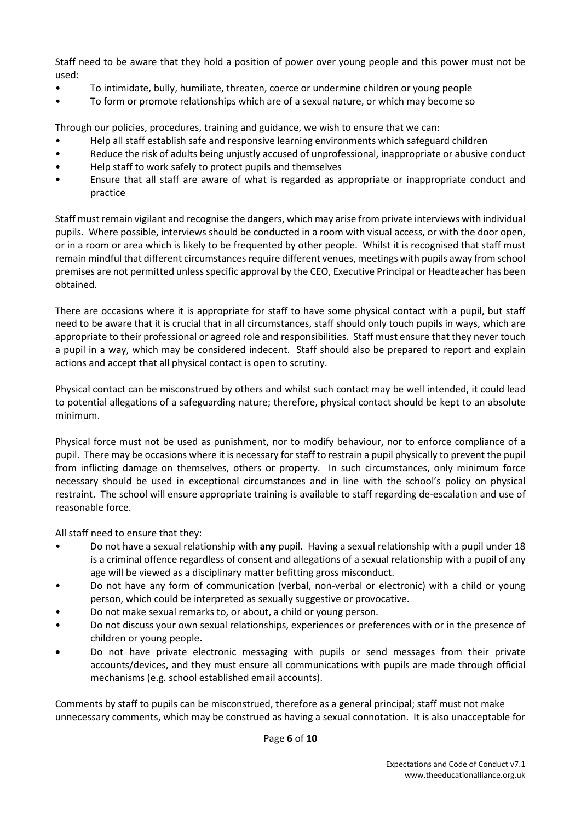Staff need to be aware that they hold a position of power over young people and this power must not be used:

- To intimidate, bully, humiliate, threaten, coerce or undermine children or young people
- To form or promote relationships which are of a sexual nature, or which may become so

Through our policies, procedures, training and guidance, we wish to ensure that we can:

- Help all staff establish safe and responsive learning environments which safeguard children
- Reduce the risk of adults being unjustly accused of unprofessional, inappropriate or abusive conduct
- Help staff to work safely to protect pupils and themselves
- Ensure that all staff are aware of what is regarded as appropriate or inappropriate conduct and practice

Staff must remain vigilant and recognise the dangers, which may arise from private interviews with individual pupils. Where possible, interviews should be conducted in a room with visual access, or with the door open, or in a room or area which is likely to be frequented by other people. Whilst it is recognised that staff must remain mindful that different circumstances require different venues, meetings with pupils away from school premises are not permitted unless specific approval by the CEO, Executive Principal or Headteacher has been obtained.

There are occasions where it is appropriate for staff to have some physical contact with a pupil, but staff need to be aware that it is crucial that in all circumstances, staff should only touch pupils in ways, which are appropriate to their professional or agreed role and responsibilities. Staff must ensure that they never touch a pupil in a way, which may be considered indecent. Staff should also be prepared to report and explain actions and accept that all physical contact is open to scrutiny.

Physical contact can be misconstrued by others and whilst such contact may be well intended, it could lead to potential allegations of a safeguarding nature; therefore, physical contact should be kept to an absolute minimum.

Physical force must not be used as punishment, nor to modify behaviour, nor to enforce compliance of a pupil. There may be occasions where it is necessary for staff to restrain a pupil physically to prevent the pupil from inflicting damage on themselves, others or property. In such circumstances, only minimum force necessary should be used in exceptional circumstances and in line with the school's policy on physical restraint. The school will ensure appropriate training is available to staff regarding de-escalation and use of reasonable force.

All staff need to ensure that they:

- Do not have a sexual relationship with any pupil. Having a sexual relationship with a pupil under 18 is a criminal offence regardless of consent and allegations of a sexual relationship with a pupil of any age will be viewed as a disciplinary matter befitting gross misconduct.
- Do not have any form of communication (verbal, non-verbal or electronic) with a child or young person, which could be interpreted as sexually suggestive or provocative.
- Do not make sexual remarks to, or about, a child or young person.
- Do not discuss your own sexual relationships, experiences or preferences with or in the presence of children or young people.
- Do not have private electronic messaging with pupils or send messages from their private accounts/devices, and they must ensure all communications with pupils are made through official mechanisms (e.g. school established email accounts).

Comments by staff to pupils can be misconstrued, therefore as a general principal; staff must not make unnecessary comments, which may be construed as having a sexual connotation. It is also unacceptable for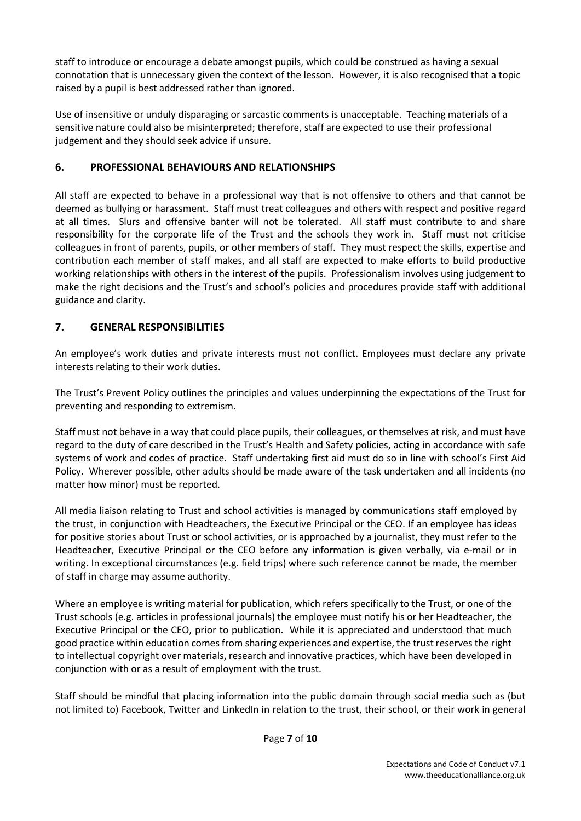staff to introduce or encourage a debate amongst pupils, which could be construed as having a sexual connotation that is unnecessary given the context of the lesson. However, it is also recognised that a topic raised by a pupil is best addressed rather than ignored.

Use of insensitive or unduly disparaging or sarcastic comments is unacceptable. Teaching materials of a sensitive nature could also be misinterpreted; therefore, staff are expected to use their professional judgement and they should seek advice if unsure.

# 6. PROFESSIONAL BEHAVIOURS AND RELATIONSHIPS

All staff are expected to behave in a professional way that is not offensive to others and that cannot be deemed as bullying or harassment. Staff must treat colleagues and others with respect and positive regard at all times. Slurs and offensive banter will not be tolerated. All staff must contribute to and share responsibility for the corporate life of the Trust and the schools they work in. Staff must not criticise colleagues in front of parents, pupils, or other members of staff. They must respect the skills, expertise and contribution each member of staff makes, and all staff are expected to make efforts to build productive working relationships with others in the interest of the pupils. Professionalism involves using judgement to make the right decisions and the Trust's and school's policies and procedures provide staff with additional guidance and clarity.

# 7. GENERAL RESPONSIBILITIES

An employee's work duties and private interests must not conflict. Employees must declare any private interests relating to their work duties.

The Trust's Prevent Policy outlines the principles and values underpinning the expectations of the Trust for preventing and responding to extremism.

Staff must not behave in a way that could place pupils, their colleagues, or themselves at risk, and must have regard to the duty of care described in the Trust's Health and Safety policies, acting in accordance with safe systems of work and codes of practice. Staff undertaking first aid must do so in line with school's First Aid Policy. Wherever possible, other adults should be made aware of the task undertaken and all incidents (no matter how minor) must be reported.

All media liaison relating to Trust and school activities is managed by communications staff employed by the trust, in conjunction with Headteachers, the Executive Principal or the CEO. If an employee has ideas for positive stories about Trust or school activities, or is approached by a journalist, they must refer to the Headteacher, Executive Principal or the CEO before any information is given verbally, via e-mail or in writing. In exceptional circumstances (e.g. field trips) where such reference cannot be made, the member of staff in charge may assume authority.

Where an employee is writing material for publication, which refers specifically to the Trust, or one of the Trust schools (e.g. articles in professional journals) the employee must notify his or her Headteacher, the Executive Principal or the CEO, prior to publication. While it is appreciated and understood that much good practice within education comes from sharing experiences and expertise, the trust reserves the right to intellectual copyright over materials, research and innovative practices, which have been developed in conjunction with or as a result of employment with the trust.

Staff should be mindful that placing information into the public domain through social media such as (but not limited to) Facebook, Twitter and LinkedIn in relation to the trust, their school, or their work in general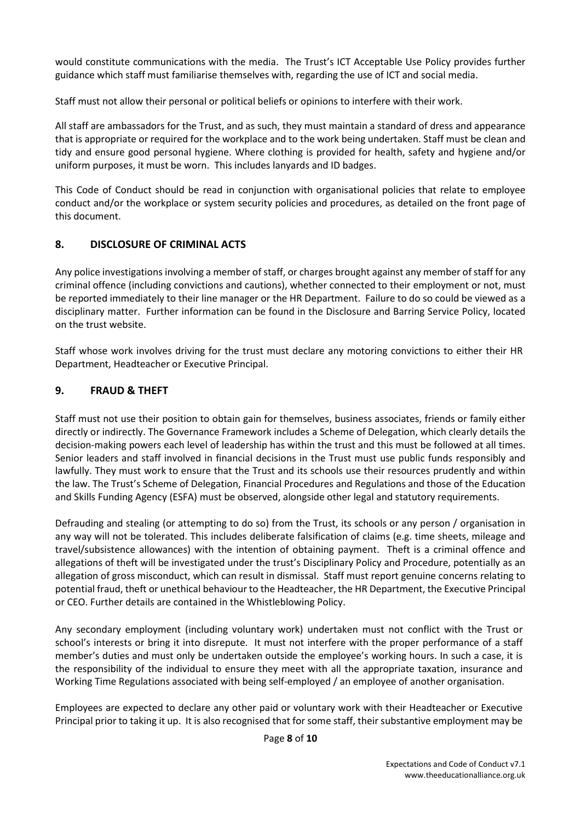would constitute communications with the media. The Trust's ICT Acceptable Use Policy provides further guidance which staff must familiarise themselves with, regarding the use of ICT and social media.

Staff must not allow their personal or political beliefs or opinions to interfere with their work.

All staff are ambassadors for the Trust, and as such, they must maintain a standard of dress and appearance that is appropriate or required for the workplace and to the work being undertaken. Staff must be clean and tidy and ensure good personal hygiene. Where clothing is provided for health, safety and hygiene and/or uniform purposes, it must be worn. This includes lanyards and ID badges.

This Code of Conduct should be read in conjunction with organisational policies that relate to employee conduct and/or the workplace or system security policies and procedures, as detailed on the front page of this document.

# 8. DISCLOSURE OF CRIMINAL ACTS

Any police investigations involving a member of staff, or charges brought against any member of staff for any criminal offence (including convictions and cautions), whether connected to their employment or not, must be reported immediately to their line manager or the HR Department. Failure to do so could be viewed as a disciplinary matter. Further information can be found in the Disclosure and Barring Service Policy, located on the trust website.

Staff whose work involves driving for the trust must declare any motoring convictions to either their HR Department, Headteacher or Executive Principal.

# 9. FRAUD & THEFT

Staff must not use their position to obtain gain for themselves, business associates, friends or family either directly or indirectly. The Governance Framework includes a Scheme of Delegation, which clearly details the decision-making powers each level of leadership has within the trust and this must be followed at all times. Senior leaders and staff involved in financial decisions in the Trust must use public funds responsibly and lawfully. They must work to ensure that the Trust and its schools use their resources prudently and within the law. The Trust's Scheme of Delegation, Financial Procedures and Regulations and those of the Education and Skills Funding Agency (ESFA) must be observed, alongside other legal and statutory requirements.

Defrauding and stealing (or attempting to do so) from the Trust, its schools or any person / organisation in any way will not be tolerated. This includes deliberate falsification of claims (e.g. time sheets, mileage and travel/subsistence allowances) with the intention of obtaining payment. Theft is a criminal offence and allegations of theft will be investigated under the trust's Disciplinary Policy and Procedure, potentially as an allegation of gross misconduct, which can result in dismissal. Staff must report genuine concerns relating to potential fraud, theft or unethical behaviour to the Headteacher, the HR Department, the Executive Principal or CEO. Further details are contained in the Whistleblowing Policy.

Any secondary employment (including voluntary work) undertaken must not conflict with the Trust or school's interests or bring it into disrepute. It must not interfere with the proper performance of a staff member's duties and must only be undertaken outside the employee's working hours. In such a case, it is the responsibility of the individual to ensure they meet with all the appropriate taxation, insurance and Working Time Regulations associated with being self-employed / an employee of another organisation.

Employees are expected to declare any other paid or voluntary work with their Headteacher or Executive Principal prior to taking it up. It is also recognised that for some staff, their substantive employment may be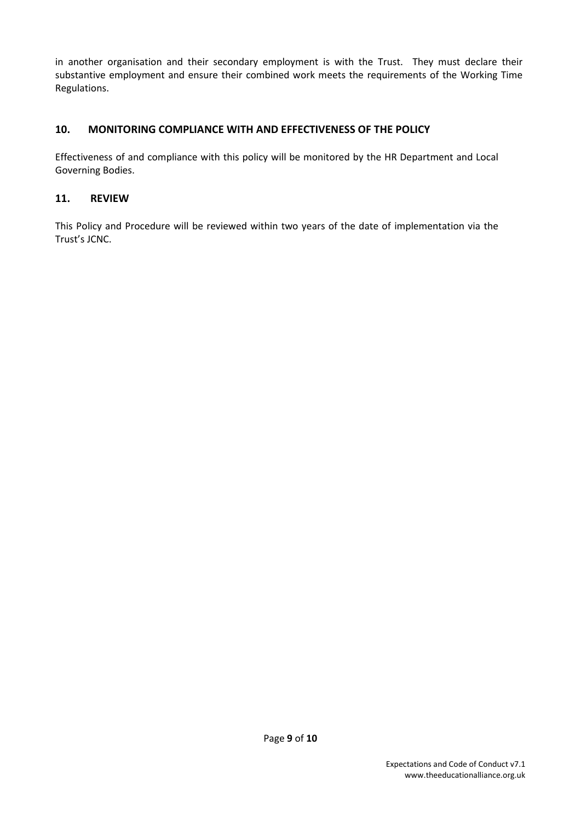in another organisation and their secondary employment is with the Trust. They must declare their substantive employment and ensure their combined work meets the requirements of the Working Time Regulations.

### 10. MONITORING COMPLIANCE WITH AND EFFECTIVENESS OF THE POLICY

Effectiveness of and compliance with this policy will be monitored by the HR Department and Local Governing Bodies.

#### 11. REVIEW

This Policy and Procedure will be reviewed within two years of the date of implementation via the Trust's JCNC.